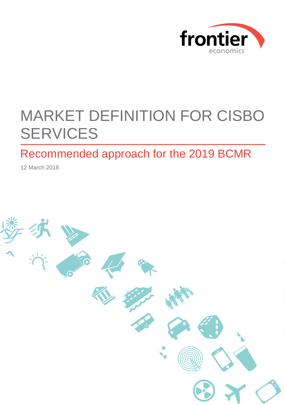

# MARKET DEFINITION FOR CISBO **SERVICES**

## Recommended approach for the 2019 BCMR

12 March 2018

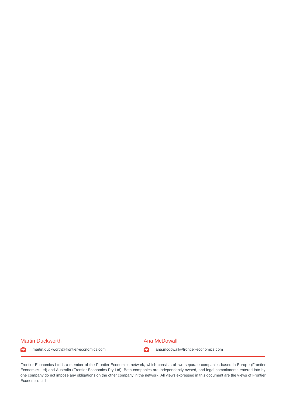#### Martin Duckworth **Ana McDowall** Martin Duckworth **Ana McDowall**



martin.duckworth@frontier-economics.com ana.mcdowall@frontier-economics.com  $\bullet$ 

Frontier Economics Ltd is a member of the Frontier Economics network, which consists of two separate companies based in Europe (Frontier Economics Ltd) and Australia (Frontier Economics Pty Ltd). Both companies are independently owned, and legal commitments entered into by one company do not impose any obligations on the other company in the network. All views expressed in this document are the views of Frontier Economics Ltd.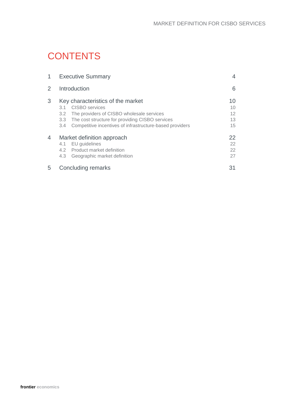## **CONTENTS**

| 1              | <b>Executive Summary</b>                                                                                                                                                                                                                                                  |                            |  |  |
|----------------|---------------------------------------------------------------------------------------------------------------------------------------------------------------------------------------------------------------------------------------------------------------------------|----------------------------|--|--|
| $\overline{2}$ | Introduction                                                                                                                                                                                                                                                              |                            |  |  |
| 3              | Key characteristics of the market<br><b>CISBO</b> services<br>3.1<br>The providers of CISBO wholesale services<br>$3.2^{\circ}$<br>The cost structure for providing CISBO services<br>3.3 <sup>°</sup><br>Competitive incentives of infrastructure-based providers<br>3.4 | 10<br>10<br>12<br>13<br>15 |  |  |
| 4              | Market definition approach<br>EU guidelines<br>4.1<br>4.2 Product market definition<br>Geographic market definition<br>4.3                                                                                                                                                | 22<br>22<br>22<br>27       |  |  |
| 5              | <b>Concluding remarks</b>                                                                                                                                                                                                                                                 | 31                         |  |  |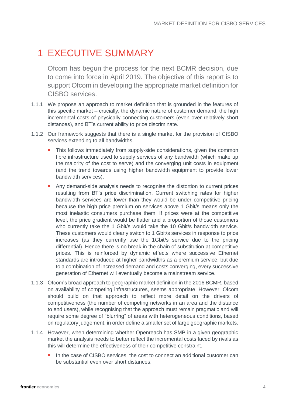## <span id="page-3-0"></span>1 EXECUTIVE SUMMARY

Ofcom has begun the process for the next BCMR decision, due to come into force in April 2019. The objective of this report is to support Ofcom in developing the appropriate market definition for CISBO services.

- 1.1.1 We propose an approach to market definition that is grounded in the features of this specific market – crucially, the dynamic nature of customer demand, the high incremental costs of physically connecting customers (even over relatively short distances), and BT's current ability to price discriminate.
- 1.1.2 Our framework suggests that there is a single market for the provision of CISBO services extending to all bandwidths.
	- This follows immediately from supply-side considerations, given the common fibre infrastructure used to supply services of any bandwidth (which make up the majority of the cost to serve) and the converging unit costs in equipment (and the trend towards using higher bandwidth equipment to provide lower bandwidth services).
	- Any demand-side analysis needs to recognise the distortion to current prices resulting from BT's price discrimination. Current switching rates for higher bandwidth services are lower than they would be under competitive pricing because the high price premium on services above 1 Gbit/s means only the most inelastic consumers purchase them. If prices were at the competitive level, the price gradient would be flatter and a proportion of those customers who currently take the 1 Gbit/s would take the 10 Gbit/s bandwidth service. These customers would clearly switch to 1 Gbit/s services in response to price increases (as they currently use the 1Gbit/s service due to the pricing differential). Hence there is no break in the chain of substitution at competitive prices. This is reinforced by dynamic effects where successive Ethernet standards are introduced at higher bandwidths as a premium service, but due to a combination of increased demand and costs converging, every successive generation of Ethernet will eventually become a mainstream service.
- 1.1.3 Ofcom's broad approach to geographic market definition in the 2016 BCMR, based on availability of competing infrastructures, seems appropriate. However, Ofcom should build on that approach to reflect more detail on the drivers of competitiveness (the number of competing networks in an area and the distance to end users), while recognising that the approach must remain pragmatic and will require some degree of "blurring" of areas with heterogeneous conditions, based on regulatory judgement, in order define a smaller set of large geographic markets.
- 1.1.4 However, when determining whether Openreach has SMP in a given geographic market the analysis needs to better reflect the incremental costs faced by rivals as this will determine the effectiveness of their competitive constraint.
	- In the case of CISBO services, the cost to connect an additional customer can be substantial even over short distances.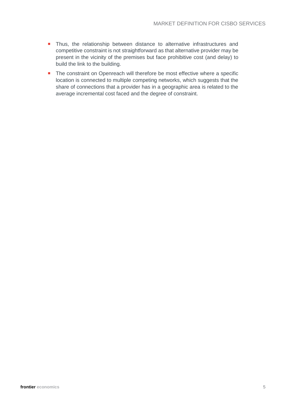- **Thus, the relationship between distance to alternative infrastructures and** competitive constraint is not straightforward as that alternative provider may be present in the vicinity of the premises but face prohibitive cost (and delay) to build the link to the building.
- **The constraint on Openreach will therefore be most effective where a specific** location is connected to multiple competing networks, which suggests that the share of connections that a provider has in a geographic area is related to the average incremental cost faced and the degree of constraint.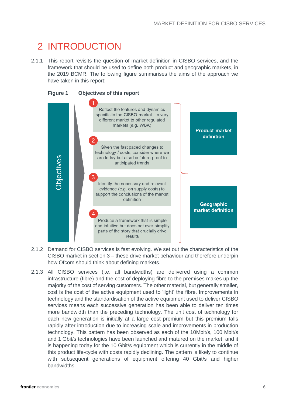## <span id="page-5-0"></span>2 INTRODUCTION

2.1.1 This report revisits the question of market definition in CISBO services, and the framework that should be used to define both product and geographic markets, in the 2019 BCMR. The following figure summarises the aims of the approach we have taken in this report:



- 2.1.2 Demand for CISBO services is fast evolving. We set out the characteristics of the CISBO market in section [3](#page-9-0) – these drive market behaviour and therefore underpin how Ofcom should think about defining markets.
- 2.1.3 All CISBO services (i.e. all bandwidths) are delivered using a common infrastructure (fibre) and the cost of deploying fibre to the premises makes up the majority of the cost of serving customers. The other material, but generally smaller, cost is the cost of the active equipment used to 'light' the fibre. Improvements in technology and the standardisation of the active equipment used to deliver CISBO services means each successive generation has been able to deliver ten times more bandwidth than the preceding technology. The unit cost of technology for each new generation is initially at a large cost premium but this premium falls rapidly after introduction due to increasing scale and improvements in production technology. This pattern has been observed as each of the 10Mbit/s, 100 Mbit/s and 1 Gbit/s technologies have been launched and matured on the market, and it is happening today for the 10 Gbit/s equipment which is currently in the middle of this product life-cycle with costs rapidly declining. The pattern is likely to continue with subsequent generations of equipment offering 40 Gbit/s and higher bandwidths.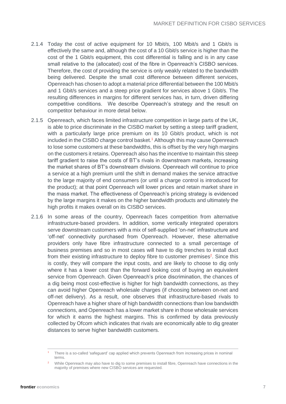- 2.1.4 Today the cost of active equipment for 10 Mbit/s, 100 Mbit/s and 1 Gbit/s is effectively the same and, although the cost of a 10 Gbit/s service is higher than the cost of the 1 Gbit/s equipment, this cost differential is falling and is in any case small relative to the (allocated) cost of the fibre in Openreach's CISBO services. Therefore, the cost of providing the service is only weakly related to the bandwidth being delivered. Despite the small cost difference between different services, Openreach has chosen to adopt a material price differential between the 100 Mbit/s and 1 Gbit/s services and a steep price gradient for services above 1 Gbit/s. The resulting differences in margins for different services has, in turn, driven differing competitive conditions. We describe Openreach's strategy and the result on competitor behaviour in more detail below.
- 2.1.5 Openreach, which faces limited infrastructure competition in large parts of the UK, is able to price discriminate in the CISBO market by setting a steep tariff gradient, with a particularly large price premium on its 10 Gbit/s product, which is not included in the CISBO charge control basket.<sup>1</sup> Although this may cause Openreach to lose some customers at these bandwidths, this is offset by the very high margins on the customers it retains. Openreach also has the incentive to maintain this steep tariff gradient to raise the costs of BT's rivals in downstream markets, increasing the market shares of BT's downstream divisions. Openreach will continue to price a service at a high premium until the shift in demand makes the service attractive to the large majority of end consumers (or until a charge control is introduced for the product); at that point Openreach will lower prices and retain market share in the mass market. The effectiveness of Openreach's pricing strategy is evidenced by the large margins it makes on the higher bandwidth products and ultimately the high profits it makes overall on its CISBO services.
- 2.1.6 In some areas of the country, Openreach faces competition from alternative infrastructure-based providers. In addition, some vertically integrated operators serve downstream customers with a mix of self-supplied 'on-net' infrastructure and 'off-net' connectivity purchased from Openreach. However, these alternative providers only have fibre infrastructure connected to a small percentage of business premises and so in most cases will have to dig trenches to install duct from their existing infrastructure to deploy fibre to customer premises<sup>2</sup>. Since this is costly, they will compare the input costs, and are likely to choose to dig only where it has a lower cost than the forward looking cost of buying an equivalent service from Openreach. Given Openreach's price discrimination, the chances of a dig being most cost-effective is higher for high bandwidth connections, as they can avoid higher Openreach wholesale charges (if choosing between on-net and off-net delivery). As a result, one observes that infrastructure-based rivals to Openreach have a higher share of high bandwidth connections than low bandwidth connections, and Openreach has a lower market share in those wholesale services for which it earns the highest margins. This is confirmed by data previously collected by Ofcom which indicates that rivals are economically able to dig greater distances to serve higher bandwidth customers.

There is a so-called 'safeguard' cap applied which prevents Openreach from increasing prices in nominal terms.

While Openreach may also have to dig to some premises to install fibre, Openreach have connections in the majority of premises where new CISBO services are requested.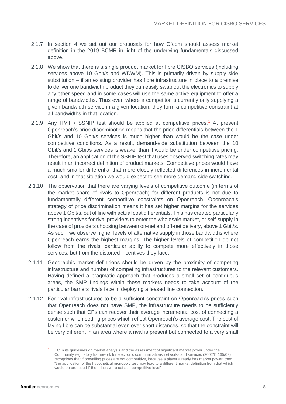- 2.1.7 In section [4](#page-21-0) we set out our proposals for how Ofcom should assess market definition in the 2019 BCMR in light of the underlying fundamentals discussed above.
- 2.1.8 We show that there is a single product market for fibre CISBO services (including services above 10 Gbit/s and WDWM). This is primarily driven by supply side substitution – if an existing provider has fibre infrastructure in place to a premise to deliver one bandwidth product they can easily swap out the electronics to supply any other speed and in some cases will use the same active equipment to offer a range of bandwidths. Thus even where a competitor is currently only supplying a given bandwidth service in a given location, they form a competitive constraint at all bandwidths in that location.
- 2.1.9 Any HMT / SSNIP test should be applied at competitive prices.<sup>3</sup> At present Openreach's price discrimination means that the price differentials between the 1 Gbit/s and 10 Gbit/s services is much higher than would be the case under competitive conditions. As a result, demand-side substitution between the 10 Gbit/s and 1 Gbit/s services is weaker than it would be under competitive pricing. Therefore, an application of the SSNIP test that uses observed switching rates may result in an incorrect definition of product markets. Competitive prices would have a much smaller differential that more closely reflected differences in incremental cost, and in that situation we would expect to see more demand side switching.
- 2.1.10 The observation that there are varying levels of competitive outcome (in terms of the market share of rivals to Openreach) for different products is not due to fundamentally different competitive constraints on Openreach. Openreach's strategy of price discrimination means it has set higher margins for the services above 1 Gbit/s, out of line with actual cost differentials. This has created particularly strong incentives for rival providers to enter the wholesale market, or self-supply in the case of providers choosing between on-net and off-net delivery, above 1 Gbit/s. As such, we observe higher levels of alternative supply in those bandwidths where Openreach earns the highest margins. The higher levels of competition do not follow from the rivals' particular ability to compete more effectively in those services, but from the distorted incentives they face.
- 2.1.11 Geographic market definitions should be driven by the proximity of competing infrastructure and number of competing infrastructures to the relevant customers. Having defined a pragmatic approach that produces a small set of contiguous areas, the SMP findings within these markets needs to take account of the particular barriers rivals face in deploying a leased line connection.
- 2.1.12 For rival infrastructures to be a sufficient constraint on Openreach's prices such that Openreach does not have SMP, the infrastructure needs to be sufficiently dense such that CPs can recover their average incremental cost of connecting a customer when setting prices which reflect Openreach's average cost. The cost of laying fibre can be substantial even over short distances, so that the constraint will be very different in an area where a rival is present but connected to a very small

<sup>&</sup>lt;sup>3</sup> EC in its guidelines on market analysis and the assessment of significant market power under the Community regulatory framework for electronic communications networks and services (2002/C 165/03) recognises that if prevailing prices are not competitive, because a player already has market power, then "the application of the hypothetical monopoly test may lead to a different market definition from that which would be produced if the prices were set at a competitive level".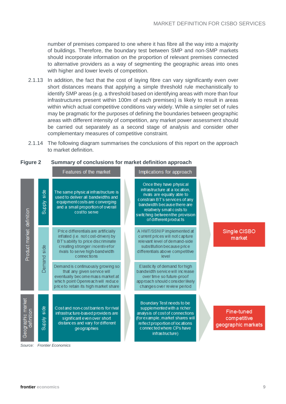number of premises compared to one where it has fibre all the way into a majority of buildings. Therefore, the boundary test between SMP and non-SMP markets should incorporate information on the proportion of relevant premises connected to alternative providers as a way of segmenting the geographic areas into ones with higher and lower levels of competition.

- 2.1.13 In addition, the fact that the cost of laying fibre can vary significantly even over short distances means that applying a simple threshold rule mechanistically to identify SMP areas (e.g. a threshold based on identifying areas with more than four infrastructures present within 100m of each premises) is likely to result in areas within which actual competitive conditions vary widely. While a simpler set of rules may be pragmatic for the purposes of defining the boundaries between geographic areas with different intensity of competition, any market power assessment should be carried out separately as a second stage of analysis and consider other complementary measures of competitive constraint.
- 2.1.14 The following diagram summarises the conclusions of this report on the approach to market definition.

|                                 |                                     | Features of the market                                                                                                                                                                              | Implications for approach                                                                                                                                                                                                                       |                                                 |
|---------------------------------|-------------------------------------|-----------------------------------------------------------------------------------------------------------------------------------------------------------------------------------------------------|-------------------------------------------------------------------------------------------------------------------------------------------------------------------------------------------------------------------------------------------------|-------------------------------------------------|
|                                 | $rac{1}{\sqrt{2}}$<br><b>Supply</b> | The same physical infrastructure is<br>used to deliver all bandwidths and<br>equipment costs are converging<br>and a small proportion of overall<br>cost to serve                                   | Once they have physical<br>infrastructure at a location,<br>rivals are equally able to<br>constrain BT's services of any<br>bandwidth because there are<br>relatively small costs to<br>switching betweenthe provision<br>of different products |                                                 |
| Product market definition       | $\frac{1}{\sqrt{2}}$<br>Demand      | Price differentials are artificially<br>inflated (i.e. not cost-driven) by<br>BT's ability to price discriminate<br>creating stronger incentivefor<br>rivals to serve high-bandwidth<br>connections | A HMT/SSNIP implemented at<br>current prices will not capture<br>relevant level of demand-side<br>substitution because price<br>differentials above competitive<br>level                                                                        | Single CISBO<br>market                          |
|                                 |                                     | Demand is continuously growing so<br>that any given service will<br>eventually become mass market at<br>which point Openreach will reduce<br>price to retain its high market share                  | Elasticity of demand for high<br>bandwidth service will increase<br>over time so future-proof<br>approach should consider likely<br>changes over review period                                                                                  |                                                 |
| Geographic market<br>definition | $\frac{4}{3}$<br><b>Alddh</b>       | Cost and non-cost barriers for rival<br>infrastructure-based providers are<br>significant even over short<br>distances and vary for different<br>geographies                                        | Boundary Test needs to be<br>supplemented with a richer<br>analysis of cost of connections<br>(for example, market shares will<br>reflect proportion of locations<br>connected where CPs have<br>infrastructure)                                | Fine-tuned<br>competitive<br>geographic markets |

#### **Figure 2 Summary of conclusions for market definition approach**

*Source: Frontier Economics*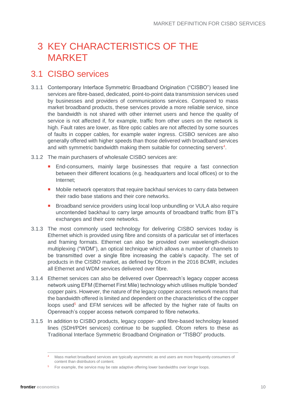## <span id="page-9-0"></span>3 KEY CHARACTERISTICS OF THE MARKET

### <span id="page-9-1"></span>3.1 CISBO services

- 3.1.1 Contemporary Interface Symmetric Broadband Origination ("CISBO") leased line services are fibre-based, dedicated, point-to-point data transmission services used by businesses and providers of communications services. Compared to mass market broadband products, these services provide a more reliable service, since the bandwidth is not shared with other internet users and hence the quality of service is not affected if, for example, traffic from other users on the network is high. Fault rates are lower, as fibre optic cables are not affected by some sources of faults in copper cables, for example water ingress. CISBO services are also generally offered with higher speeds than those delivered with broadband services and with symmetric bandwidth making them suitable for connecting servers<sup>4</sup>.
- 3.1.2 The main purchasers of wholesale CISBO services are:
	- **End-consumers, mainly large businesses that require a fast connection** between their different locations (e.g. headquarters and local offices) or to the Internet;
	- **Mobile network operators that require backhaul services to carry data between** their radio base stations and their core networks.
	- **Broadband service providers using local loop unbundling or VULA also require** uncontended backhaul to carry large amounts of broadband traffic from BT's exchanges and their core networks.
- 3.1.3 The most commonly used technology for delivering CISBO services today is Ethernet which is provided using fibre and consists of a particular set of interfaces and framing formats. Ethernet can also be provided over wavelength-division multiplexing ("WDM"), an optical technique which allows a number of channels to be transmitted over a single fibre increasing the cable's capacity. The set of products in the CISBO market, as defined by Ofcom in the 2016 BCMR, includes all Ethernet and WDM services delivered over fibre.
- 3.1.4 Ethernet services can also be delivered over Openreach's legacy copper access network using EFM (Ethernet First Mile) technology which utilises multiple 'bonded' copper pairs. However, the nature of the legacy copper access network means that the bandwidth offered is limited and dependent on the characteristics of the copper loops used<sup>5</sup> and EFM services will be affected by the higher rate of faults on Openreach's copper access network compared to fibre networks.
- 3.1.5 In addition to CISBO products, legacy copper- and fibre-based technology leased lines (SDH/PDH services) continue to be supplied. Ofcom refers to these as Traditional Interface Symmetric Broadband Origination or "TISBO" products.

<sup>4</sup> Mass market broadband services are typically asymmetric as end users are more frequently consumers of content than distributors of content.

<sup>&</sup>lt;sup>5</sup> For example, the service may be rate adaptive offering lower bandwidths over longer loops.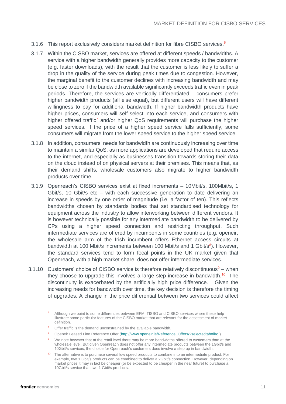- 3.1.6 This report exclusively considers market definition for fibre CISBO services.<sup>6</sup>
- 3.1.7 Within the CISBO market, services are offered at different speeds / bandwidths. A service with a higher bandwidth generally provides more capacity to the customer (e.g. faster downloads), with the result that the customer is less likely to suffer a drop in the quality of the service during peak times due to congestion. However, the marginal benefit to the customer declines with increasing bandwidth and may be close to zero if the bandwidth available significantly exceeds traffic even in peak periods. Therefore, the services are vertically differentiated – consumers prefer higher bandwidth products (all else equal), but different users will have different willingness to pay for additional bandwidth. If higher bandwidth products have higher prices, consumers will self-select into each service, and consumers with higher offered traffic<sup>7</sup> and/or higher QoS requirements will purchase the higher speed services. If the price of a higher speed service falls sufficiently, some consumers will migrate from the lower speed service to the higher speed service.
- 3.1.8 In addition, consumers' needs for bandwidth are continuously increasing over time to maintain a similar QoS, as more applications are developed that require access to the internet, and especially as businesses transition towards storing their data on the cloud instead of on physical servers at their premises. This means that, as their demand shifts, wholesale customers also migrate to higher bandwidth products over time.
- 3.1.9 Openreach's CISBO services exist at fixed increments 10Mbit/s, 100Mbit/s, 1 Gbit/s, 10 Gbit/s etc – with each successive generation to date delivering an increase in speeds by one order of magnitude (i.e. a factor of ten). This reflects bandwidths chosen by standards bodies that set standardised technology for equipment across the industry to allow interworking between different vendors. It is however technically possible for any intermediate bandwidth to be delivered by CPs using a higher speed connection and restricting throughput. Such intermediate services are offered by incumbents in some countries (e.g. openeir, the wholesale arm of the Irish incumbent offers Ethernet access circuits at bandwidth at 100 Mbit/s increments between 100 Mbit/s and 1 Gbit/s<sup>8</sup>). However, the standard services tend to form focal points in the UK market given that Openreach, with a high market share, does not offer intermediate services.
- 3.1.10 Customers' choice of CISBO service is therefore relatively discontinuous $9 -$  when they choose to upgrade this involves a large step increase in bandwidth.<sup>10</sup> The discontinuity is exacerbated by the artificially high price difference. Given the increasing needs for bandwidth over time, the key decision is therefore the timing of upgrades. A change in the price differential between two services could affect

- <sup>7</sup> Offer traffic is the demand unconstrained by the available bandwidth.
- 8 Openeir Leased Line Reference Offer [\(http://www.openeir.ie/Reference\\_Offers/?selectedtab=llro](http://www.openeir.ie/Reference_Offers/?selectedtab=llro) )

<sup>6</sup> Although we point to some differences between EFM, TISBO and CISBO services where these help illustrate some particular features of the CISBO market that are relevant for the assessment of market definition.

We note however that at the retail level there may be more bandwidths offered to customers than at the wholesale level. But given Openreach does not offer any intermediate products between the 1Gbit/s and 10Gbit/s services, the choice for Openreach's customers does involve a step up in bandwidth.

<sup>&</sup>lt;sup>10</sup> The alternative is to purchase several low speed products to combine into an intermediate product. For example, two 1 Gbit/s products can be combined to deliver a 2Gbit/s connection. However, depending on market prices it may in fact be cheaper (or be expected to be cheaper in the near future) to purchase a 10Gbit/s service than two 1 Gbit/s products.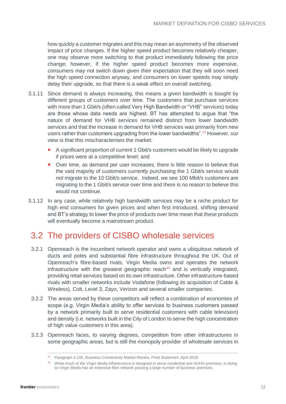how quickly a customer migrates and this may mean an asymmetry of the observed impact of price changes. If the higher speed product becomes relatively cheaper, one may observe more switching to that product immediately following the price change; however, if the higher speed product becomes more expensive, consumers may not switch down given their expectation that they will soon need the high speed connection anyway, and consumers on lower speeds may simply delay their upgrade, so that there is a weak effect on overall switching.

- 3.1.11 Since demand is always increasing, this means a given bandwidth is bought by different groups of customers over time. The customers that purchase services with more than 1 Gbit/s (often called Very High Bandwidth or "VHB" services) today are those whose data needs are highest. BT has attempted to argue that "the nature of demand for VHB services remained distinct from lower bandwidth services and that the increase in demand for VHB services was primarily from new users rather than customers upgrading from the lower bandwidths".<sup>11</sup> However, our view is that this mischaracterises the market:
	- A significant proportion of current 1 Gbit/s customers would be likely to upgrade if prices were at a competitive level; and
	- Over time, as demand per user increases, there is little reason to believe that the vast majority of customers currently purchasing the 1 Gbit/s service would *not* migrate to the 10 Gbit/s service. Indeed, we see 100 Mbit/s customers are migrating to the 1 Gbit/s service over time and there is no reason to believe this would not continue.
- 3.1.12 In any case, while relatively high bandwidth services may be a niche product for high end consumers for given prices and when first introduced, shifting demand and BT's strategy to lower the price of products over time mean that these products will eventually become a mainstream product.

### <span id="page-11-0"></span>3.2 The providers of CISBO wholesale services

- 3.2.1 Openreach is the incumbent network operator and owns a ubiquitous network of ducts and poles and substantial fibre infrastructure throughout the UK. Out of Openreach's fibre-based rivals, Virgin Media owns and operates the network infrastructure with the greatest geographic reach<sup>12</sup> and is vertically integrated, providing retail services based on its own infrastructure. Other infrastructure-based rivals with smaller networks include Vodafone (following its acquisition of Cable & Wireless), Colt, Level 3, Zayo, Verizon and several smaller companies.
- 3.2.2 The areas served by these competitors will reflect a combination of economies of scope (e.g. Virgin Media's ability to offer services to business customers passed by a network primarily built to serve residential customers with cable television) and density (i.e. networks built in the City of London to serve the high concentration of high value customers in this area).
- 3.2.3 Openreach faces, to varying degrees, competition from other infrastructures in some geographic areas, but is still the monopoly provider of wholesale services in

<sup>11</sup> Paragraph 4.100, Business Connectivity Market Review, Final Statement, April 2018.

<sup>&</sup>lt;sup>12</sup> While much of the Virgin Media infrastructure is designed to serve residential and SOHO premises, in doing so Virgin Media has an extensive fibre network passing a large number of business premises.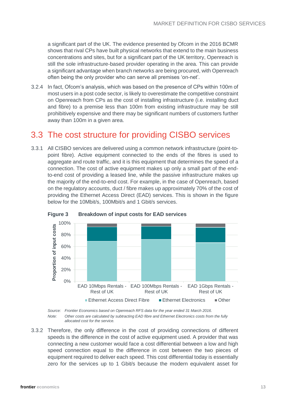a significant part of the UK. The evidence presented by Ofcom in the 2016 BCMR shows that rival CPs have built physical networks that extend to the main business concentrations and sites, but for a significant part of the UK territory, Openreach is still the sole infrastructure-based provider operating in the area. This can provide a significant advantage when branch networks are being procured, with Openreach often being the only provider who can serve all premises 'on-net'.

3.2.4 In fact, Ofcom's analysis, which was based on the presence of CPs within 100m of most users in a post code sector, is likely to overestimate the competitive constraint on Openreach from CPs as the cost of installing infrastructure (i.e. installing duct and fibre) to a premise less than 100m from existing infrastructure may be still prohibitively expensive and there may be significant numbers of customers further away than 100m in a given area.

### <span id="page-12-0"></span>3.3 The cost structure for providing CISBO services

3.3.1 All CISBO services are delivered using a common network infrastructure (point-topoint fibre). Active equipment connected to the ends of the fibres is used to aggregate and route traffic, and it is this equipment that determines the speed of a connection. The cost of active equipment makes up only a small part of the endto-end cost of providing a leased line, while the passive infrastructure makes up the majority of the end-to-end cost. For example, in the case of Openreach, based on the regulatory accounts, duct / fibre makes up approximately 70% of the cost of providing the Ethernet Access Direct (EAD) services. This is shown in the figure below for the 10Mbit/s, 100Mbit/s and 1 Gbit/s services.



**Figure 3 Breakdown of input costs for EAD services**

*Source: Frontier Economics based on Openreach RFS data for the year ended 31 March 2016. Note: Other costs are calculated by subtracting EAD fibre and Ethernet Electronics costs from the fully allocated cost for the service.*

3.3.2 Therefore, the only difference in the cost of providing connections of different speeds is the difference in the cost of active equipment used. A provider that was connecting a new customer would face a cost differential between a low and high speed connection equal to the difference in cost between the two pieces of equipment required to deliver each speed. This cost differential today is essentially zero for the services up to 1 Gbit/s because the modern equivalent asset for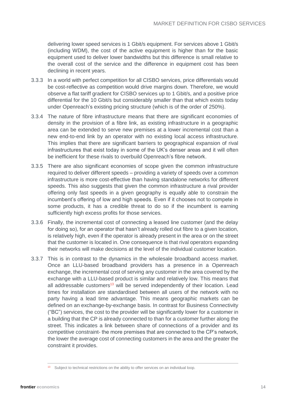delivering lower speed services is 1 Gbit/s equipment. For services above 1 Gbit/s (including WDM), the cost of the active equipment is higher than for the basic equipment used to deliver lower bandwidths but this difference is small relative to the overall cost of the service and the difference in equipment cost has been declining in recent years.

- 3.3.3 In a world with perfect competition for all CISBO services, price differentials would be cost-reflective as competition would drive margins down. Therefore, we would observe a flat tariff gradient for CISBO services up to 1 Gbit/s, and a positive price differential for the 10 Gbit/s but considerably smaller than that which exists today under Openreach's existing pricing structure (which is of the order of 250%).
- 3.3.4 The nature of fibre infrastructure means that there are significant economies of density in the provision of a fibre link, as existing infrastructure in a geographic area can be extended to serve new premises at a lower incremental cost than a new end-to-end link by an operator with no existing local access infrastructure. This implies that there are significant barriers to geographical expansion of rival infrastructures that exist today in some of the UK's denser areas and it will often be inefficient for these rivals to overbuild Openreach's fibre network.
- 3.3.5 There are also significant economies of scope given the common infrastructure required to deliver different speeds – providing a variety of speeds over a common infrastructure is more cost-effective than having standalone networks for different speeds. This also suggests that given the common infrastructure a rival provider offering only fast speeds in a given geography is equally able to constrain the incumbent's offering of low and high speeds. Even if it chooses not to compete in some products, it has a credible threat to do so if the incumbent is earning sufficiently high excess profits for those services.
- 3.3.6 Finally, the incremental cost of connecting a leased line customer (and the delay for doing so), for an operator that hasn't already rolled out fibre to a given location, is relatively high, even if the operator is already present in the area or on the street that the customer is located in. One consequence is that rival operators expanding their networks will make decisions at the level of the individual customer location.
- 3.3.7 This is in contrast to the dynamics in the wholesale broadband access market. Once an LLU-based broadband providers has a presence in a Openreach exchange, the incremental cost of serving any customer in the area covered by the exchange with a LLU-based product is similar and relatively low. This means that all addressable customers<sup>13</sup> will be served independently of their location. Lead times for installation are standardised between all users of the network with no party having a lead time advantage. This means geographic markets can be defined on an exchange-by-exchange basis. In contrast for Business Connectivity ("BC") services, the cost to the provider will be significantly lower for a customer in a building that the CP is already connected to than for a customer further along the street. This indicates a link between share of connections of a provider and its competitive constraint- the more premises that are connected to the CP's network, the lower the average cost of connecting customers in the area and the greater the constraint it provides.

Subject to technical restrictions on the ability to offer services on an individual loop.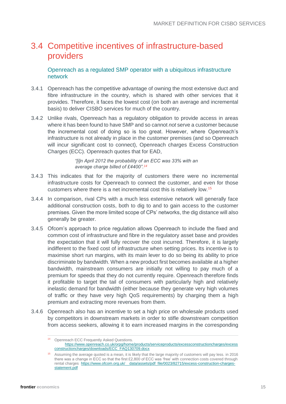## <span id="page-14-0"></span>3.4 Competitive incentives of infrastructure-based providers

Openreach as a regulated SMP operator with a ubiquitous infrastructure network

- 3.4.1 Openreach has the competitive advantage of owning the most extensive duct and fibre infrastructure in the country, which is shared with other services that it provides. Therefore, it faces the lowest cost (on both an average and incremental basis) to deliver CISBO services for much of the country.
- 3.4.2 Unlike rivals, Openreach has a regulatory obligation to provide access in areas where it has been found to have SMP and so cannot *not* serve a customer because the incremental cost of doing so is too great. However, where Openreach's infrastructure is not already in place in the customer premises (and so Openreach will incur significant cost to connect), Openreach charges Excess Construction Charges (ECC). Openreach quotes that for EAD,

*"[i]n April 2012 the probability of an ECC was 33% with an average charge billed of £4400".<sup>14</sup>*

- 3.4.3 This indicates that for the majority of customers there were no incremental infrastructure costs for Openreach to connect the customer, and even for those customers where there is a net incremental cost this is relatively low.<sup>15</sup>
- 3.4.4 In comparison, rival CPs with a much less extensive network will generally face additional construction costs, both to dig to and to gain access to the customer premises. Given the more limited scope of CPs' networks, the dig distance will also generally be greater.
- 3.4.5 Ofcom's approach to price regulation allows Openreach to include the fixed and common cost of infrastructure and fibre in the regulatory asset base and provides the expectation that it will fully recover the cost incurred. Therefore, it is largely indifferent to the fixed cost of infrastructure when setting prices. Its incentive is to maximise short run margins, with its main lever to do so being its ability to price discriminate by bandwidth. When a new product first becomes available at a higher bandwidth, mainstream consumers are initially not willing to pay much of a premium for speeds that they do not currently require. Openreach therefore finds it profitable to target the tail of consumers with particularly high and relatively inelastic demand for bandwidth (either because they generate very high volumes of traffic or they have very high QoS requirements) by charging them a high premium and extracting more revenues from them.
- 3.4.6 Openreach also has an incentive to set a high price on wholesale products used by competitors in downstream markets in order to stifle downstream competition from access seekers, allowing it to earn increased margins in the corresponding

<sup>14</sup> Openreach ECC Frequently Asked Questions. [https://www.openreach.co.uk/orpg/home/products/serviceproducts/excessconstructioncharges/excess](https://www.openreach.co.uk/orpg/home/products/serviceproducts/excessconstructioncharges/excessconstructioncharges/downloads/ECC_FAQ130709.docx) [constructioncharges/downloads/ECC\\_FAQ130709.docx](https://www.openreach.co.uk/orpg/home/products/serviceproducts/excessconstructioncharges/excessconstructioncharges/downloads/ECC_FAQ130709.docx)

<sup>&</sup>lt;sup>15</sup> Assuming the average quoted is a mean, it is likely that the large majority of customers will pay less. in 2016 there was a change in ECC so that the first £2,800 of ECC was 'free' with connection costs covered through rental charges [https://www.ofcom.org.uk/\\_\\_data/assets/pdf\\_file/0023/82715/excess-construction-charges](https://www.ofcom.org.uk/__data/assets/pdf_file/0023/82715/excess-construction-charges-statement.pdf)[statement.pdf](https://www.ofcom.org.uk/__data/assets/pdf_file/0023/82715/excess-construction-charges-statement.pdf)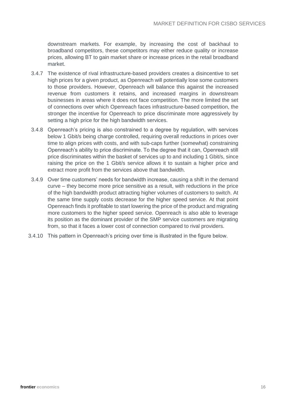downstream markets. For example, by increasing the cost of backhaul to broadband competitors, these competitors may either reduce quality or increase prices, allowing BT to gain market share or increase prices in the retail broadband market.

- 3.4.7 The existence of rival infrastructure-based providers creates a disincentive to set high prices for a given product, as Openreach will potentially lose some customers to those providers. However, Openreach will balance this against the increased revenue from customers it retains, and increased margins in downstream businesses in areas where it does not face competition. The more limited the set of connections over which Openreach faces infrastructure-based competition, the stronger the incentive for Openreach to price discriminate more aggressively by setting a high price for the high bandwidth services.
- 3.4.8 Openreach's pricing is also constrained to a degree by regulation, with services below 1 Gbit/s being charge controlled, requiring overall reductions in prices over time to align prices with costs, and with sub-caps further (somewhat) constraining Openreach's ability to price discriminate. To the degree that it can, Openreach still price discriminates within the basket of services up to and including 1 Gbit/s, since raising the price on the 1 Gbit/s service allows it to sustain a higher price and extract more profit from the services above that bandwidth.
- 3.4.9 Over time customers' needs for bandwidth increase, causing a shift in the demand curve – they become more price sensitive as a result, with reductions in the price of the high bandwidth product attracting higher volumes of customers to switch. At the same time supply costs decrease for the higher speed service. At that point Openreach finds it profitable to start lowering the price of the product and migrating more customers to the higher speed service. Openreach is also able to leverage its position as the dominant provider of the SMP service customers are migrating from, so that it faces a lower cost of connection compared to rival providers.
- 3.4.10 This pattern in Openreach's pricing over time is illustrated in the figure below.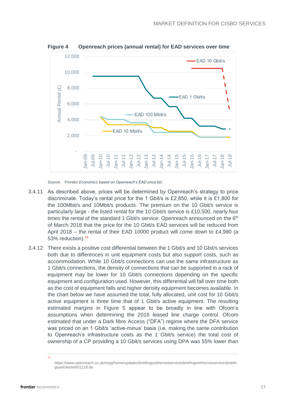

**Figure 4 Openreach prices (annual rental) for EAD services over time**

*Source: Frontier Economics based on Openreach's EAD price list.*

- 3.4.11 As described above, prices will be determined by Openreach's strategy to price discriminate. Today's rental price for the 1 Gbit/s is £2,850, while it is £1,800 for the 100Mbit/s and 10Mbit/s products. The premium on the 10 Gbit/s service is particularly large - the listed rental for the 10 Gbit/s service is £10,500, nearly four times the rental of the standard 1 Gbit/s service. Openreach announced on the 6<sup>th</sup> of March 2018 that the price for the 10 Gbit/s EAD services will be reduced from April 2018 – the rental of their EAD 10000 product will come down to £4,980 (a 53% reduction).<sup>16</sup>
- 3.4.12 There exists a positive cost differential between the 1 Gbit/s and 10 Gbit/s services both due to differences in unit equipment costs but also support costs, such as accommodation. While 10 Gbit/s connections can use the same infrastructure as 1 Gbit/s connections, the density of connections that can be supported in a rack of equipment may be lower for 10 Gbit/s connections depending on the specific equipment and configuration used. However, this differential will fall over time both as the cost of equipment falls and higher density equipment becomes available. In the chart below we have assumed the total, fully allocated, unit cost for 10 Gbit/s active equipment is three time that of 1 Gbit/s active equipment. The resulting estimated margins in [Figure 5](#page-17-0) appear to be broadly in line with Ofcom's assumptions when determining the 2016 leased line charge control. Ofcom estimated that under a Dark fibre Access ("DFA") regime where the DFA service was priced on an 1 Gbit/s 'active-minus' basis (i.e. making the same contribution to Openreach's infrastructure costs as the 1 Gbit/s service) the total cost of ownership of a CP providing a 10 Gbit/s services using DPA was 55% lower than

16

https://www.openreach.co.uk/orpg/home/updates/briefings/ethernetservicesbriefings/ethernetservicesbriefin gsarticles/eth01118.do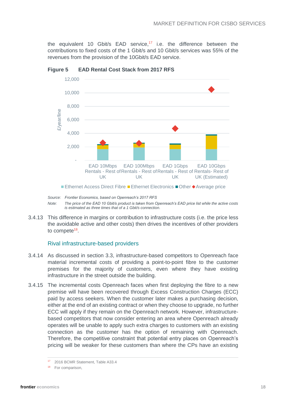the equivalent 10 Gbit/s EAD service,<sup>17</sup> i.e. the difference between the contributions to fixed costs of the 1 Gbit/s and 10 Gbit/s services was 55% of the revenues from the provision of the 10Gbit/s EAD service.



<span id="page-17-0"></span>**Figure 5 EAD Rental Cost Stack from 2017 RFS**

3.4.13 This difference in margins or contribution to infrastructure costs (i.e. the price less the avoidable active and other costs) then drives the incentives of other providers to compete<sup>18</sup>.

#### Rival infrastructure-based providers

- 3.4.14 As discussed in section [3.3,](#page-12-0) infrastructure-based competitors to Openreach face material incremental costs of providing a point-to-point fibre to the customer premises for the majority of customers, even where they have existing infrastructure in the street outside the building.
- 3.4.15 The incremental costs Openreach faces when first deploying the fibre to a new premise will have been recovered through Excess Construction Charges (ECC) paid by access seekers. When the customer later makes a purchasing decision, either at the end of an existing contract or when they choose to upgrade, no further ECC will apply if they remain on the Openreach network. However, infrastructurebased competitors that now consider entering an area where Openreach already operates will be unable to apply such extra charges to customers with an existing connection as the customer has the option of remaining with Openreach. Therefore, the competitive constraint that potential entry places on Openreach's pricing will be weaker for these customers than where the CPs have an existing

*Source: Frontier Economics, based on Openreach's 2017 RFS Note:* The price of the EAD 10 Gbit/s product is taken from Openreach's EAD price list while the active costs *is estimated as three times that of a 1 Gbit/s connection.*

<sup>2016</sup> BCMR Statement, Table A33.4

<sup>&</sup>lt;sup>18</sup> For comparison,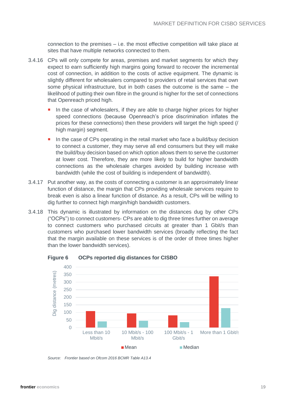connection to the premises – i.e. the most effective competition will take place at sites that have multiple networks connected to them.

- 3.4.16 CPs will only compete for areas, premises and market segments for which they expect to earn sufficiently high margins going forward to recover the incremental cost of connection, in addition to the costs of active equipment. The dynamic is slightly different for wholesalers compared to providers of retail services that own some physical infrastructure, but in both cases the outcome is the same – the likelihood of putting their own fibre in the ground is higher for the set of connections that Openreach priced high.
	- In the case of wholesalers, if they are able to charge higher prices for higher speed connections (because Openreach's price discrimination inflates the prices for these connections) then these providers will target the high speed (/ high margin) segment.
	- In the case of CPs operating in the retail market who face a build/buy decision to connect a customer, they may serve all end consumers but they will make the build/buy decision based on which option allows them to serve the customer at lower cost. Therefore, they are more likely to build for higher bandwidth connections as the wholesale charges avoided by building increase with bandwidth (while the cost of building is independent of bandwidth).
- 3.4.17 Put another way, as the costs of connecting a customer is an approximately linear function of distance, the margin that CPs providing wholesale services require to break even is also a linear function of distance. As a result, CPs will be willing to dig further to connect high margin/high bandwidth customers.
- 3.4.18 This dynamic is illustrated by information on the distances dug by other CPs ("OCPs") to connect customers- CPs are able to dig three times further on average to connect customers who purchased circuits at greater than 1 Gbit/s than customers who purchased lower bandwidth services (broadly reflecting the fact that the margin available on these services is of the order of three times higher than the lower bandwidth services).



**Figure 6 OCPs reported dig distances for CISBO**

*Source: Frontier based on Ofcom 2016 BCMR Table A13.4*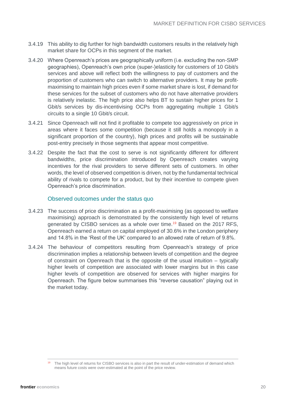- 3.4.19 This ability to dig further for high bandwidth customers results in the relatively high market share for OCPs in this segment of the market.
- 3.4.20 Where Openreach's prices are geographically uniform (i.e. excluding the non-SMP geographies), Openreach's own price (super-)elasticity for customers of 10 Gbit/s services and above will reflect both the willingness to pay of customers and the proportion of customers who can switch to alternative providers. It may be profitmaximising to maintain high prices even if some market share is lost, if demand for these services for the subset of customers who do not have alternative providers is relatively inelastic. The high price also helps BT to sustain higher prices for 1 Gbit/s services by dis-incentivising OCPs from aggregating multiple 1 Gbit/s circuits to a single 10 Gbit/s circuit.
- 3.4.21 Since Openreach will not find it profitable to compete too aggressively on price in areas where it faces some competition (because it still holds a monopoly in a significant proportion of the country), high prices and profits will be sustainable post-entry precisely in those segments that appear most competitive.
- 3.4.22 Despite the fact that the cost to serve is not significantly different for different bandwidths, price discrimination introduced by Openreach creates varying incentives for the rival providers to serve different sets of customers. In other words, the level of observed competition is driven, not by the fundamental technical ability of rivals to compete for a product, but by their incentive to compete given Openreach's price discrimination.

#### Observed outcomes under the status quo

- 3.4.23 The success of price discrimination as a profit-maximising (as opposed to welfare maximising) approach is demonstrated by the consistently high level of returns generated by CISBO services as a whole over time.<sup>19</sup> Based on the 2017 RFS. Openreach earned a return on capital employed of 30.6% in the London periphery and 14.8% in the 'Rest of the UK' compared to an allowed rate of return of 9.8%.
- 3.4.24 The behaviour of competitors resulting from Openreach's strategy of price discrimination implies a relationship between levels of competition and the degree of constraint on Openreach that is the opposite of the usual intuition – typically higher levels of competition are associated with lower margins but in this case higher levels of competition are observed for services with higher margins for Openreach. The figure below summarises this "reverse causation" playing out in the market today.

<sup>19</sup> The high level of returns for CISBO services is also in part the result of under-estimation of demand which means future costs were over-estimated at the point of the price review.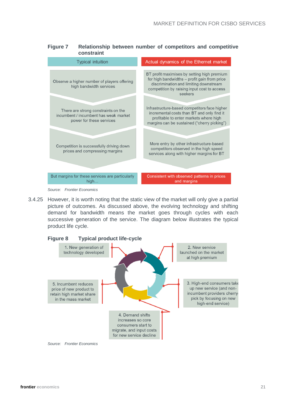#### **Figure 7 Relationship between number of competitors and competitive constraint**

| <b>Typical intuition</b>                                                                                 | Actual dynamics of the Ethernet market                                                                                                                                                          |
|----------------------------------------------------------------------------------------------------------|-------------------------------------------------------------------------------------------------------------------------------------------------------------------------------------------------|
| Observe a higher number of players offering<br>high bandwidth services                                   | BT profit maximises by setting high premium<br>for high bandwidths - profit gain from price<br>discrimination and limiting downstream<br>competition by raising input cost to access<br>seekers |
| There are strong constraints on the<br>incumbent / incumbent has weak market<br>power for these services | Infrastructure-based competitors face higher<br>incremental costs than BT and only find it<br>profitable to enter markets where high<br>margins can be sustained ("cherry picking")             |
| Competition is successfully driving down<br>prices and compressing margins                               | More entry by other infrastructure-based<br>competitors observed in the high speed<br>services along with higher margins for BT                                                                 |
| But margins for these services are particularly<br>high                                                  | Consistent with observed patterns in prices<br>and margins                                                                                                                                      |
| Source: Frontier Economics                                                                               |                                                                                                                                                                                                 |

<sup>3.4.25</sup> However, it is worth noting that the static view of the market will only give a partial picture of outcomes. As discussed above, the evolving technology and shifting demand for bandwidth means the market goes through cycles with each successive generation of the service. The diagram below illustrates the typical product life cycle.

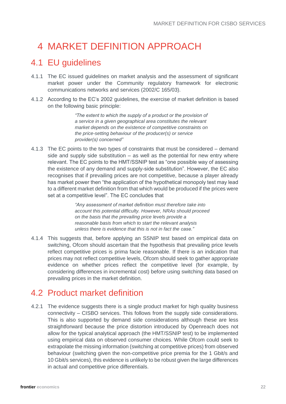## <span id="page-21-0"></span>4 MARKET DEFINITION APPROACH

### <span id="page-21-1"></span>4.1 EU guidelines

- 4.1.1 The EC issued guidelines on market analysis and the assessment of significant market power under the Community regulatory framework for electronic communications networks and services (2002/C 165/03).
- 4.1.2 According to the EC's 2002 guidelines, the exercise of market definition is based on the following basic principle:

*"The extent to which the supply of a product or the provision of a service in a given geographical area constitutes the relevant market depends on the existence of competitive constraints on the price-setting behaviour of the producer(s) or service provider(s) concerned"*

4.1.3 The EC points to the two types of constraints that must be considered – demand side and supply side substitution – as well as the potential for new entry where relevant. The EC points to the HMT/SSNIP test as "one possible way of assessing the existence of any demand and supply-side substitution". However, the EC also recognises that if prevailing prices are not competitive, because a player already has market power then "the application of the hypothetical monopoly test may lead to a different market definition from that which would be produced if the prices were set at a competitive level". The EC concludes that

> *"Any assessment of market definition must therefore take into account this potential difficulty. However, NRAs should proceed on the basis that the prevailing price levels provide a reasonable basis from which to start the relevant analysis unless there is evidence that this is not in fact the case."*

4.1.4 This suggests that, before applying an SSNIP test based on empirical data on switching, Ofcom should ascertain that the hypothesis that prevailing price levels reflect competitive prices is prima facie reasonable. If there is an indication that prices may not reflect competitive levels, Ofcom should seek to gather appropriate evidence on whether prices reflect the competitive level (for example, by considering differences in incremental cost) before using switching data based on prevailing prices in the market definition.

### <span id="page-21-2"></span>4.2 Product market definition

4.2.1 The evidence suggests there is a single product market for high quality business connectivity – CISBO services. This follows from the supply side considerations. This is also supported by demand side considerations although these are less straightforward because the price distortion introduced by Openreach does not allow for the typical analytical approach (the HMT/SSNIP test) to be implemented using empirical data on observed consumer choices. While Ofcom could seek to extrapolate the missing information (switching at competitive prices) from observed behaviour (switching given the non-competitive price premia for the 1 Gbit/s and 10 Gbit/s services), this evidence is unlikely to be robust given the large differences in actual and competitive price differentials.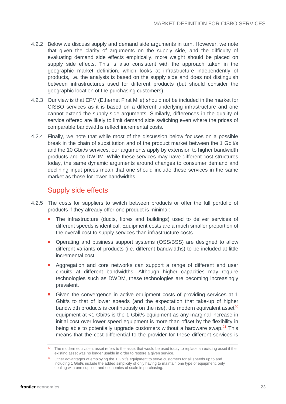- 4.2.2 Below we discuss supply and demand side arguments in turn. However, we note that given the clarity of arguments on the supply side, and the difficulty of evaluating demand side effects empirically, more weight should be placed on supply side effects. This is also consistent with the approach taken in the geographic market definition, which looks at infrastructure independently of products, i.e. the analysis is based on the supply side and does not distinguish between infrastructures used for different products (but should consider the geographic location of the purchasing customers).
- 4.2.3 Our view is that EFM (Ethernet First Mile) should not be included in the market for CISBO services as it is based on a different underlying infrastructure and one cannot extend the supply-side arguments. Similarly, differences in the quality of service offered are likely to limit demand side switching even where the prices of comparable bandwidths reflect incremental costs.
- 4.2.4 Finally, we note that while most of the discussion below focuses on a possible break in the chain of substitution and of the product market between the 1 Gbit/s and the 10 Gbit/s services, our arguments apply by extension to higher bandwidth products and to DWDM. While these services may have different cost structures today, the same dynamic arguments around changes to consumer demand and declining input prices mean that one should include these services in the same market as those for lower bandwidths.

### Supply side effects

- 4.2.5 The costs for suppliers to switch between products or offer the full portfolio of products if they already offer one product is minimal:
	- The infrastructure (ducts, fibres and buildings) used to deliver services of different speeds is identical. Equipment costs are a much smaller proportion of the overall cost to supply services than infrastructure costs.
	- **Derating and business support systems (OSS/BSS) are designed to allow** different variants of products (i.e. different bandwidths) to be included at little incremental cost.
	- **Aggregation and core networks can support a range of different end user** circuits at different bandwidths. Although higher capacities may require technologies such as DWDM, these technologies are becoming increasingly prevalent.
	- Given the convergence in active equipment costs of providing services at 1 Gbit/s to that of lower speeds (and the expectation that take-up of higher bandwidth products is continuously on the rise), the modern equivalent asset<sup>20</sup> equipment at <1 Gbit/s is the 1 Gbit/s equipment as any marginal increase in initial cost over lower speed equipment is more than offset by the flexibility in being able to potentially upgrade customers without a hardware swap.<sup>21</sup> This means that the cost differential to the provider for these different services is

<sup>&</sup>lt;sup>20</sup> The modern equivalent asset refers to the asset that would be used today to replace an existing asset if the existing asset was no longer usable in order to restore a given service.

<sup>&</sup>lt;sup>21</sup> Other advantages of employing the 1 Gbit/s equipment to serve customers for all speeds up to and including 1 Gbit/s include the added simplicity of only having to maintain one type of equipment, only dealing with one supplier and economies of scale in purchasing.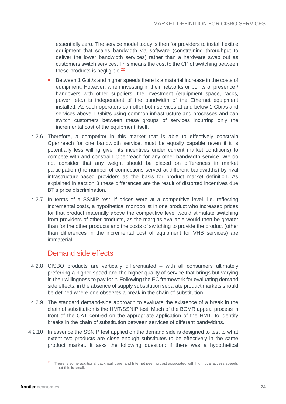essentially zero. The service model today is then for providers to install flexible equipment that scales bandwidth via software (constraining throughput to deliver the lower bandwidth services) rather than a hardware swap out as customers switch services. This means the cost to the CP of switching between these products is negligible.<sup>22</sup>

- Between 1 Gbit/s and higher speeds there is a material increase in the costs of equipment. However, when investing in their networks or points of presence / handovers with other suppliers, the investment (equipment space, racks, power, etc.) is independent of the bandwidth of the Ethernet equipment installed. As such operators can offer both services at and below 1 Gbit/s and services above 1 Gbit/s using common infrastructure and processes and can switch customers between these groups of services incurring only the incremental cost of the equipment itself.
- 4.2.6 Therefore, a competitor in this market that is able to effectively constrain Openreach for one bandwidth service, must be equally capable (even if it is potentially less willing given its incentives under current market conditions) to compete with and constrain Openreach for any other bandwidth service. We do not consider that any weight should be placed on differences in market participation (the number of connections served at different bandwidths) by rival infrastructure-based providers as the basis for product market definition. As explained in section 3 these differences are the result of distorted incentives due BT's price discrimination.
- 4.2.7 In terms of a SSNIP test, if prices were at a competitive level, i.e. reflecting incremental costs, a hypothetical monopolist in one product who increased prices for that product materially above the competitive level would stimulate switching from providers of other products, as the margins available would then be greater than for the other products and the costs of switching to provide the product (other than differences in the incremental cost of equipment for VHB services) are immaterial.

#### Demand side effects

- 4.2.8 CISBO products are vertically differentiated with all consumers ultimately preferring a higher speed and the higher quality of service that brings but varying in their willingness to pay for it. Following the EC framework for evaluating demand side effects, in the absence of supply substitution separate product markets should be defined where one observes a break in the chain of substitution.
- 4.2.9 The standard demand-side approach to evaluate the existence of a break in the chain of substitution is the HMT/SSNIP test. Much of the BCMR appeal process in front of the CAT centred on the appropriate application of the HMT, to identify breaks in the chain of substitution between services of different bandwidths.
- 4.2.10 In essence the SSNIP test applied on the demand side is designed to test to what extent two products are close enough substitutes to be effectively in the same product market. It asks the following question: if there was a hypothetical

<sup>&</sup>lt;sup>22</sup> There is some additional backhaul, core, and Internet peering cost associated with high local access speeds – but this is small.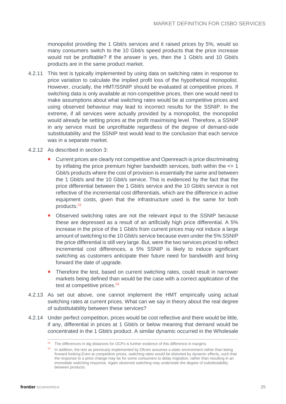monopolist providing the 1 Gbit/s services and it raised prices by 5%, would so many consumers switch to the 10 Gbit/s speed products that the price increase would not be profitable? If the answer is yes, then the 1 Gbit/s and 10 Gbit/s products are in the same product market.

- 4.2.11 This test is typically implemented by using data on switching rates in response to price variation to calculate the implied profit loss of the hypothetical monopolist. However, crucially, the HMT/SSNIP should be evaluated at competitive prices. If switching data is only available at non-competitive prices, then one would need to make assumptions about what switching rates would be at competitive prices and using observed behaviour may lead to incorrect results for the SSNIP. In the extreme, if all services were actually provided by a monopolist, the monopolist would already be setting prices at the profit maximising level. Therefore, a SSNIP in any service must be unprofitable regardless of the degree of demand-side substitutability and the SSNIP test would lead to the conclusion that each service was in a separate market.
- 4.2.12 As described in section 3:
	- **Current prices are clearly not competitive and Openreach is price discriminating** by inflating the price premium higher bandwidth services, both within the  $\leq 1$ Gbit/s products where the cost of provision is essentially the same and between the 1 Gbit/s and the 10 Gbit/s service. This is evidenced by the fact that the price differential between the 1 Gbit/s service and the 10 Gbit/s service is not reflective of the incremental cost differentials, which are the difference in active equipment costs, given that the infrastructure used is the same for both products.<sup>23</sup>
	- Observed switching rates are not the relevant input to the SSNIP because these are depressed as a result of an artificially high price differential. A 5% increase in the price of the 1 Gbit/s from current prices may not induce a large amount of switching to the 10 Gbit/s service because even under the 5% SSNIP the price differential is still very large. But, were the two services priced to reflect incremental cost differences, a 5% SSNIP is likely to induce significant switching as customers anticipate their future need for bandwidth and bring forward the date of upgrade.
	- **Therefore the test, based on current switching rates, could result in narrower** markets being defined than would be the case with a correct application of the test at competitive prices.<sup>24</sup>
- 4.2.13 As set out above, one cannot implement the HMT empirically using actual switching rates at current prices. What can we say in theory about the real degree of substitutability between these services?
- 4.2.14 Under perfect competition, prices would be cost reflective and there would be little, if any, differential in prices at 1 Gbit/s or below meaning that demand would be concentrated in the 1 Gbit/s product. A similar dynamic occurred in the Wholesale

<sup>&</sup>lt;sup>23</sup> The differences in dig distances for OCPs is further evidence of this difference in margins.

<sup>&</sup>lt;sup>24</sup> In addition, the test as previously implemented by Ofcom assumes a static environment rather than being forward looking Even at competitive prices, switching rates would be distorted by dynamic effects, such that the response to a price change may be for some consumers to delay migration, rather than resulting in an immediate switching response. Again observed switching may understate the degree of substitutability between products.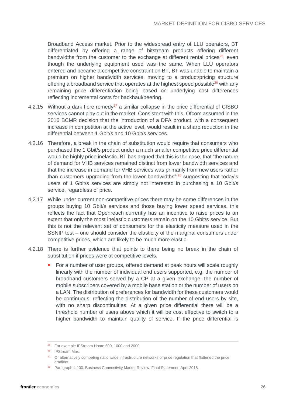Broadband Access market. Prior to the widespread entry of LLU operators, BT differentiated by offering a range of bitstream products offering different bandwidths from the customer to the exchange at different rental prices<sup>25</sup>, even though the underlying equipment used was the same. When LLU operators entered and became a competitive constraint on BT, BT was unable to maintain a premium on higher bandwidth services, moving to a product/pricing structure offering a broadband service that operates at the highest speed possible $^{26}$  with any remaining price differentiation being based on underlying cost differences reflecting incremental costs for backhaul/peering.

- 4.2.15 Without a dark fibre remedy<sup>27</sup> a similar collapse in the price differential of CISBO services cannot play out in the market. Consistent with this, Ofcom assumed in the 2016 BCMR decision that the introduction of a DFA product, with a consequent increase in competition at the active level, would result in a sharp reduction in the differential between 1 Gbit/s and 10 Gbit/s services.
- 4.2.16 Therefore, a break in the chain of substitution would require that consumers who purchased the 1 Gbit/s product under a much smaller competitive price differential would be highly price inelastic. BT has argued that this is the case, that "the nature of demand for VHB services remained distinct from lower bandwidth services and that the increase in demand for VHB services was primarily from new users rather than customers upgrading from the lower bandwidths",  $28$  suggesting that today's users of 1 Gbit/s services are simply not interested in purchasing a 10 Gbit/s service, regardless of price.
- 4.2.17 While under current non-competitive prices there may be some differences in the groups buying 10 Gbit/s services and those buying lower speed services, this reflects the fact that Openreach currently has an incentive to raise prices to an extent that only the most inelastic customers remain on the 10 Gbit/s service. But this is not the relevant set of consumers for the elasticity measure used in the SSNIP test – one should consider the elasticity of the marginal consumers under competitive prices, which are likely to be much more elastic.
- 4.2.18 There is further evidence that points to there being no break in the chain of substitution if prices were at competitive levels.
	- For a number of user groups, offered demand at peak hours will scale roughly linearly with the number of individual end users supported, e.g. the number of broadband customers served by a CP at a given exchange, the number of mobile subscribers covered by a mobile base station or the number of users on a LAN. The distribution of preferences for bandwidth for these customers would be continuous, reflecting the distribution of the number of end users by site, with no sharp discontinuities. At a given price differential there will be a threshold number of users above which it will be cost effective to switch to a higher bandwidth to maintain quality of service. If the price differential is

<sup>&</sup>lt;sup>25</sup> For example IPStream Home 500, 1000 and 2000.

<sup>26</sup> IPStream Max.

<sup>&</sup>lt;sup>27</sup> Or alternatively competing nationwide infrastructure networks or price regulation that flattened the price gradient.

<sup>&</sup>lt;sup>28</sup> Paragraph 4.100, Business Connectivity Market Review, Final Statement, April 2018.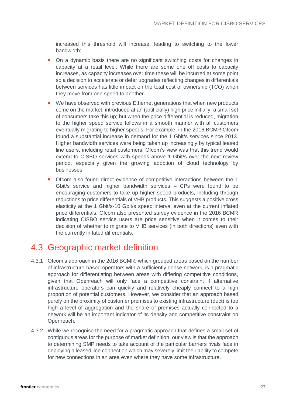increased this threshold will increase, leading to switching to the lower bandwidth;

- On a dynamic basis there are no significant switching costs for changes in capacity at a retail level. While there are some one off costs to capacity increases, as capacity increases over time these will be incurred at some point so a decision to accelerate or defer upgrades reflecting changes in differentials between services has little impact on the total cost of ownership (TCO) when they move from one speed to another.
- We have observed with previous Ethernet generations that when new products come on the market, introduced at an (artificially) high price initially, a small set of consumers take this up; but when the price differential is reduced, migration to the higher speed service follows in a smooth manner with all customers eventually migrating to higher speeds. For example, in the 2016 BCMR Ofcom found a substantial increase in demand for the 1 Gbit/s services since 2013. Higher bandwidth services were being taken up increasingly by typical leased line users, including retail customers. Ofcom's view was that this trend would extend to CISBO services with speeds above 1 Gbit/s over the next review period, especially given the growing adoption of cloud technology by businesses.
- Ofcom also found direct evidence of competitive interactions between the 1 Gbit/s service and higher bandwidth services – CPs were found to be encouraging customers to take up higher speed products, including through reductions to price differentials of VHB products. This suggests a positive cross elasticity at the 1 Gbit/s-10 Gbit/s speed interval even at the current inflated price differentials. Ofcom also presented survey evidence in the 2016 BCMR indicating CISBO service users are price sensitive when it comes to their decision of whether to migrate to VHB services (in both directions) even with the currently inflated differentials.

### <span id="page-26-0"></span>4.3 Geographic market definition

- 4.3.1 Ofcom's approach in the 2016 BCMR, which grouped areas based on the number of infrastructure-based operators with a sufficiently dense network, is a pragmatic approach for differentiating between areas with differing competitive conditions, given that Openreach will only face a competitive constraint if alternative infrastructure operators can quickly and relatively cheaply connect to a high proportion of potential customers. However, we consider that an approach based purely on the proximity of customer premises to existing infrastructure (duct) is too high a level of aggregation and the share of premises actually connected to a network will be an important indicator of its density and competitive constraint on Openreach.
- 4.3.2 While we recognise the need for a pragmatic approach that defines a small set of contiguous areas for the purpose of market definition, our view is that the approach to determining SMP needs to take account of the particular barriers rivals face in deploying a leased line connection which may severely limit their ability to compete for new connections in an area even where they have some infrastructure.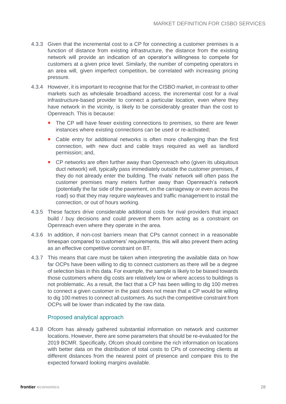- 4.3.3 Given that the incremental cost to a CP for connecting a customer premises is a function of distance from existing infrastructure, the distance from the existing network will provide an indication of an operator's willingness to compete for customers at a given price level. Similarly, the number of competing operators in an area will, given imperfect competition, be correlated with increasing pricing pressure.
- 4.3.4 However, it is important to recognise that for the CISBO market, in contrast to other markets such as wholesale broadband access, the incremental cost for a rival infrastructure-based provider to connect a particular location, even where they have network in the vicinity, is likely to be considerably greater than the cost to Openreach. This is because:
	- The CP will have fewer existing connections to premises, so there are fewer instances where existing connections can be used or re-activated;
	- Cable entry for additional networks is often more challenging than the first connection, with new duct and cable trays required as well as landlord permission; and,
	- **CP** networks are often further away than Openreach who (given its ubiquitous duct network) will, typically pass immediately outside the customer premises, if they do not already enter the building. The rivals' network will often pass the customer premises many meters further away than Openreach's network (potentially the far side of the pavement, on the carriageway or even across the road) so that they may require wayleaves and traffic management to install the connection, or out of hours working.
- 4.3.5 These factors drive considerable additional costs for rival providers that impact build / buy decisions and could prevent them from acting as a constraint on Openreach even where they operate in the area.
- 4.3.6 In addition, if non-cost barriers mean that CPs cannot connect in a reasonable timespan compared to customers' requirements, this will also prevent them acting as an effective competitive constraint on BT.
- 4.3.7 This means that care must be taken when interpreting the available data on how far OCPs have been willing to dig to connect customers as there will be a degree of selection bias in this data. For example, the sample is likely to be biased towards those customers where dig costs are relatively low or where access to buildings is not problematic. As a result, the fact that a CP has been willing to dig 100 metres to connect a given customer in the past does not mean that a CP would be willing to dig 100 metres to connect all customers. As such the competitive constraint from OCPs will be lower than indicated by the raw data.

#### Proposed analytical approach

4.3.8 Ofcom has already gathered substantial information on network and customer locations. However, there are some parameters that should be re-evaluated for the 2019 BCMR. Specifically, Ofcom should combine the rich information on locations with better data on the distribution of total costs to CPs of connecting clients at different distances from the nearest point of presence and compare this to the expected forward looking margins available.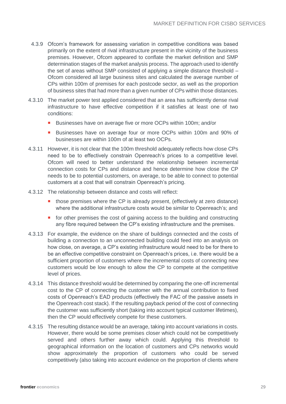- 4.3.9 Ofcom's framework for assessing variation in competitive conditions was based primarily on the extent of rival infrastructure present in the vicinity of the business premises. However, Ofcom appeared to conflate the market definition and SMP determination stages of the market analysis process. The approach used to identify the set of areas without SMP consisted of applying a simple distance threshold – Ofcom considered all large business sites and calculated the average number of CPs within 100m of premises for each postcode sector, as well as the proportion of business sites that had more than a given number of CPs within those distances.
- 4.3.10 The market power test applied considered that an area has sufficiently dense rival infrastructure to have effective competition if it satisfies at least one of two conditions:
	- Businesses have on average five or more OCPs within 100m; and/or
	- Businesses have on average four or more OCPs within 100m and 90% of businesses are within 100m of at least two OCPs.
- 4.3.11 However, it is not clear that the 100m threshold adequately reflects how close CPs need to be to effectively constrain Openreach's prices to a competitive level. Ofcom will need to better understand the relationship between incremental connection costs for CPs and distance and hence determine how close the CP needs to be to potential customers, on average, to be able to connect to potential customers at a cost that will constrain Openreach's pricing.
- 4.3.12 The relationship between distance and costs will reflect:
	- **those premises where the CP is already present, (effectively at zero distance)** where the additional infrastructure costs would be similar to Openreach's; and
	- $\blacksquare$  for other premises the cost of gaining access to the building and constructing any fibre required between the CP's existing infrastructure and the premises.
- 4.3.13 For example, the evidence on the share of buildings connected and the costs of building a connection to an unconnected building could feed into an analysis on how close, on average, a CP's existing infrastructure would need to be for there to be an effective competitive constraint on Openreach's prices, i.e. there would be a sufficient proportion of customers where the incremental costs of connecting new customers would be low enough to allow the CP to compete at the competitive level of prices.
- 4.3.14 This distance threshold would be determined by comparing the one-off incremental cost to the CP of connecting the customer with the annual contribution to fixed costs of Openreach's EAD products (effectively the FAC of the passive assets in the Openreach cost stack). If the resulting payback period of the cost of connecting the customer was sufficiently short (taking into account typical customer lifetimes), then the CP would effectively compete for these customers.
- 4.3.15 The resulting distance would be an average, taking into account variations in costs. However, there would be some premises closer which could not be competitively served and others further away which could. Applying this threshold to geographical information on the location of customers and CPs networks would show approximately the proportion of customers who could be served competitively (also taking into account evidence on the proportion of clients where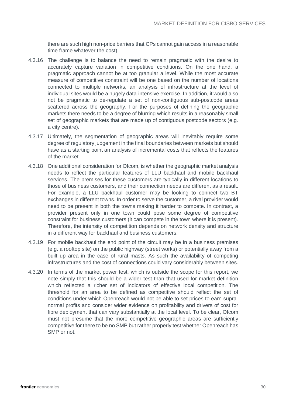there are such high non-price barriers that CPs cannot gain access in a reasonable time frame whatever the cost).

- 4.3.16 The challenge is to balance the need to remain pragmatic with the desire to accurately capture variation in competitive conditions. On the one hand, a pragmatic approach cannot be at too granular a level. While the most accurate measure of competitive constraint will be one based on the number of locations connected to multiple networks, an analysis of infrastructure at the level of individual sites would be a hugely data-intensive exercise. In addition, it would also not be pragmatic to de-regulate a set of non-contiguous sub-postcode areas scattered across the geography. For the purposes of defining the geographic markets there needs to be a degree of blurring which results in a reasonably small set of geographic markets that are made up of contiguous postcode sectors (e.g. a city centre).
- 4.3.17 Ultimately, the segmentation of geographic areas will inevitably require some degree of regulatory judgement in the final boundaries between markets but should have as a starting point an analysis of incremental costs that reflects the features of the market.
- 4.3.18 One additional consideration for Ofcom, is whether the geographic market analysis needs to reflect the particular features of LLU backhaul and mobile backhaul services. The premises for these customers are typically in different locations to those of business customers, and their connection needs are different as a result. For example, a LLU backhaul customer may be looking to connect two BT exchanges in different towns. In order to serve the customer, a rival provider would need to be present in both the towns making it harder to compete. In contrast, a provider present only in one town could pose some degree of competitive constraint for business customers (it can compete in the town where it is present). Therefore, the intensity of competition depends on network density and structure in a different way for backhaul and business customers.
- 4.3.19 For mobile backhaul the end point of the circuit may be in a business premises (e.g. a rooftop site) on the public highway (street works) or potentially away from a built up area in the case of rural masts. As such the availability of competing infrastructures and the cost of connections could vary considerably between sites.
- 4.3.20 In terms of the market power test, which is outside the scope for this report, we note simply that this should be a wider test than that used for market definition which reflected a richer set of indicators of effective local competition. The threshold for an area to be defined as competitive should reflect the set of conditions under which Openreach would not be able to set prices to earn supranormal profits and consider wider evidence on profitability and drivers of cost for fibre deployment that can vary substantially at the local level. To be clear, Ofcom must not presume that the more competitive geographic areas are sufficiently competitive for there to be no SMP but rather properly test whether Openreach has SMP or not.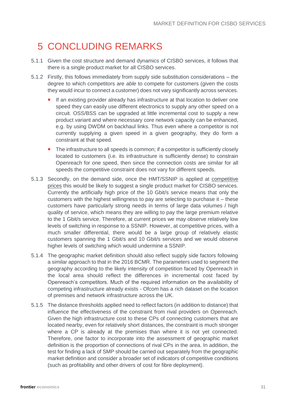## <span id="page-30-0"></span>5 CONCLUDING REMARKS

- 5.1.1 Given the cost structure and demand dynamics of CISBO services, it follows that there is a single product market for all CISBO services.
- 5.1.2 Firstly, this follows immediately from supply side substitution considerations the degree to which competitors are *able* to compete for customers (given the costs they would incur to connect a customer) does not vary significantly across services.
	- If an existing provider already has infrastructure at that location to deliver one speed they can easily use different electronics to supply any other speed on a circuit. OSS/BSS can be upgraded at little incremental cost to supply a new product variant and where necessary core network capacity can be enhanced, e.g. by using DWDM on backhaul links. Thus even where a competitor is not currently supplying a given speed in a given geography, they do form a constraint at that speed.
	- The infrastructure to all speeds is common; if a competitor is sufficiently closely located to customers (i.e. its infrastructure is sufficiently dense) to constrain Openreach for one speed, then since the connection costs are similar for all speeds the competitive constraint does not vary for different speeds.
- 5.1.3 Secondly, on the demand side, once the HMT/SSNIP is applied at competitive prices this would be likely to suggest a single product market for CISBO services. Currently the artificially high price of the 10 Gbit/s service means that only the customers with the highest willingness to pay are selecting to purchase it  $-$  these customers have particularly strong needs in terms of large data volumes / high quality of service, which means they are willing to pay the large premium relative to the 1 Gbit/s service. Therefore, at current prices we may observe relatively low levels of switching in response to a SSNIP. However, at competitive prices, with a much smaller differential, there would be a large group of relatively elastic customers spanning the 1 Gbit/s and 10 Gbit/s services and we would observe higher levels of switching which would undermine a SSNIP.
- 5.1.4 The geographic market definition should also reflect supply side factors following a similar approach to that in the 2016 BCMR. The parameters used to segment the geography according to the likely intensity of competition faced by Openreach in the local area should reflect the differences in incremental cost faced by Openreach's competitors. Much of the required information on the availability of competing infrastructure already exists - Ofcom has a rich dataset on the location of premises and network infrastructure across the UK.
- 5.1.5 The distance thresholds applied need to reflect factors (in addition to distance) that influence the effectiveness of the constraint from rival providers on Openreach. Given the high infrastructure cost to these CPs of connecting customers that are located nearby, even for relatively short distances, the constraint is much stronger where a CP is already at the premises than where it is not yet connected. Therefore, one factor to incorporate into the assessment of geographic market definition is the proportion of connections of rival CPs in the area. In addition, the test for finding a lack of SMP should be carried out separately from the geographic market definition and consider a broader set of indicators of competitive conditions (such as profitability and other drivers of cost for fibre deployment).